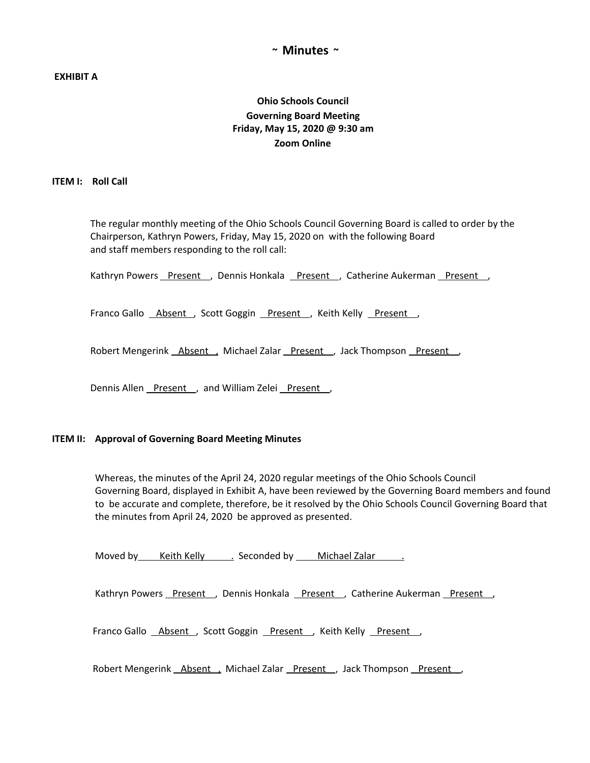## **~ Minutes ~**

## **EXHIBIT A**

# **Ohio Schools Council Governing Board Meeting Friday, May 15, 2020 @ 9:30 am Zoom Online**

#### **ITEM I: Roll Call**

The regular monthly meeting of the Ohio Schools Council Governing Board is called to order by the Chairperson, Kathryn Powers, Friday, May 15, 2020 on with the following Board and staff members responding to the roll call:

Kathryn Powers Present , Dennis Honkala Present , Catherine Aukerman Present ,

Franco Gallo **Absent**, Scott Goggin Present, Keith Kelly Present,

Robert Mengerink **Absent**, Michael Zalar Present, Jack Thompson Present

Dennis Allen Present , and William Zelei Present ,

#### **ITEM II: Approval of Governing Board Meeting Minutes**

Whereas, the minutes of the April 24, 2020 regular meetings of the Ohio Schools Council Governing Board, displayed in Exhibit A, have been reviewed by the Governing Board members and found to be accurate and complete, therefore, be it resolved by the Ohio Schools Council Governing Board that the minutes from April 24, 2020 be approved as presented.

Moved by Keith Kelly . Seconded by Michael Zalar .

Kathryn Powers Present , Dennis Honkala Present , Catherine Aukerman Present ,

Franco Gallo **Absent**, Scott Goggin Present, Keith Kelly Present,

Robert Mengerink Absent , Michael Zalar Present , Jack Thompson Present ,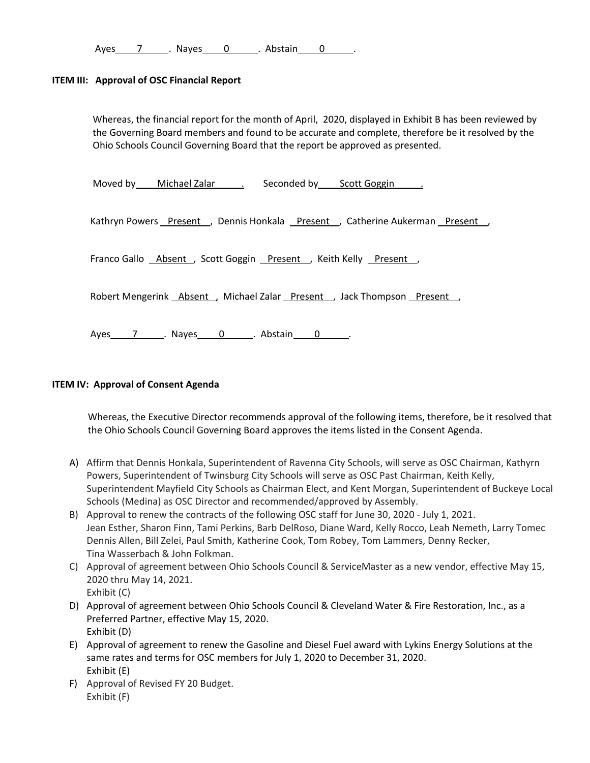Ayes 7 . Nayes 0 . Abstain 0 .

## **ITEM III: Approval of OSC Financial Report**

Whereas, the financial report for the month of April, 2020, displayed in Exhibit B has been reviewed by the Governing Board members and found to be accurate and complete, therefore be it resolved by the Ohio Schools Council Governing Board that the report be approved as presented.

Moved by Michael Zalar . Seconded by Scott Goggin .

Kathryn Powers Present , Dennis Honkala Present , Catherine Aukerman Present ,

Franco Gallo **Absent**, Scott Goggin Present, Keith Kelly Present,

Robert Mengerink **Absent**, Michael Zalar Present, Jack Thompson Present

Ayes 7 . Nayes 0 . Abstain 0 .

## **ITEM IV: Approval of Consent Agenda**

Whereas, the Executive Director recommends approval of the following items, therefore, be it resolved that the Ohio Schools Council Governing Board approves the items listed in the Consent Agenda.

- A) Affirm that Dennis Honkala, Superintendent of Ravenna City Schools, will serve as OSC Chairman, Kathyrn Powers, Superintendent of Twinsburg City Schools will serve as OSC Past Chairman, Keith Kelly, Superintendent Mayfield City Schools as Chairman Elect, and Kent Morgan, Superintendent of Buckeye Local Schools (Medina) as OSC Director and recommended/approved by Assembly.
- B) Approval to renew the contracts of the following OSC staff for June 30, 2020 July 1, 2021. Jean Esther, Sharon Finn, Tami Perkins, Barb DelRoso, Diane Ward, Kelly Rocco, Leah Nemeth, Larry Tomec Dennis Allen, Bill Zelei, Paul Smith, Katherine Cook, Tom Robey, Tom Lammers, Denny Recker, Tina Wasserbach & John Folkman.
- C) Approval of agreement between Ohio Schools Council & ServiceMaster as a new vendor, effective May 15, 2020 thru May 14, 2021. Exhibit (C)
- D) Approval of agreement between Ohio Schools Council & Cleveland Water & Fire Restoration, Inc., as a Preferred Partner, effective May 15, 2020. Exhibit (D)
- E) Approval of agreement to renew the Gasoline and Diesel Fuel award with Lykins Energy Solutions at the same rates and terms for OSC members for July 1, 2020 to December 31, 2020. Exhibit (E)
- F) Approval of Revised FY 20 Budget. Exhibit (F)